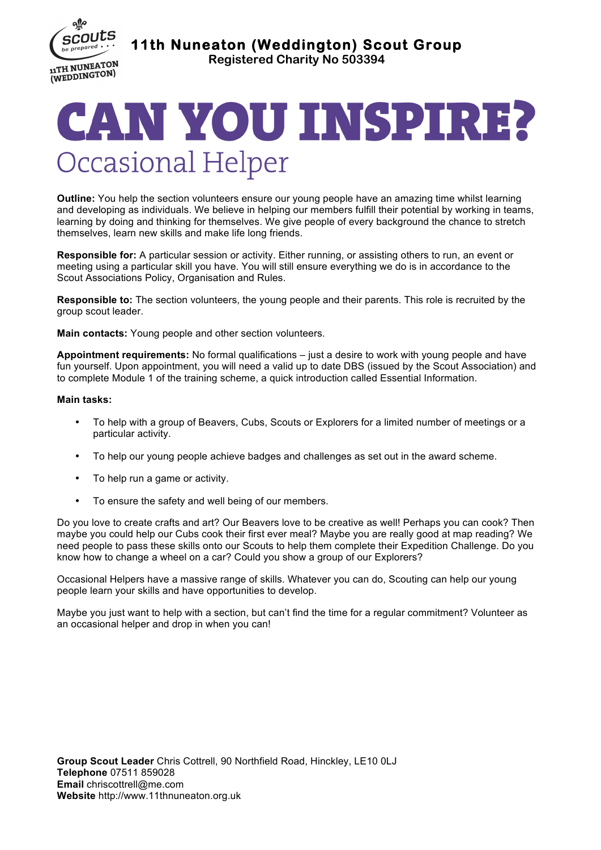

**11th Nuneaton (Weddington) Scout Group** 

**Registered Charity No 503394**

## CAN YOU INSPIRE? **Occasional Helper**

**Outline:** You help the section volunteers ensure our young people have an amazing time whilst learning and developing as individuals. We believe in helping our members fulfill their potential by working in teams, learning by doing and thinking for themselves. We give people of every background the chance to stretch themselves, learn new skills and make life long friends.

**Responsible for:** A particular session or activity. Either running, or assisting others to run, an event or meeting using a particular skill you have. You will still ensure everything we do is in accordance to the Scout Associations Policy, Organisation and Rules.

**Responsible to:** The section volunteers, the young people and their parents. This role is recruited by the group scout leader.

**Main contacts:** Young people and other section volunteers.

**Appointment requirements:** No formal qualifications – just a desire to work with young people and have fun yourself. Upon appointment, you will need a valid up to date DBS (issued by the Scout Association) and to complete Module 1 of the training scheme, a quick introduction called Essential Information.

## **Main tasks:**

- To help with a group of Beavers, Cubs, Scouts or Explorers for a limited number of meetings or a particular activity.
- To help our young people achieve badges and challenges as set out in the award scheme.
- To help run a game or activity.
- To ensure the safety and well being of our members.

Do you love to create crafts and art? Our Beavers love to be creative as well! Perhaps you can cook? Then maybe you could help our Cubs cook their first ever meal? Maybe you are really good at map reading? We need people to pass these skills onto our Scouts to help them complete their Expedition Challenge. Do you know how to change a wheel on a car? Could you show a group of our Explorers?

Occasional Helpers have a massive range of skills. Whatever you can do, Scouting can help our young people learn your skills and have opportunities to develop.

Maybe you just want to help with a section, but can't find the time for a regular commitment? Volunteer as an occasional helper and drop in when you can!